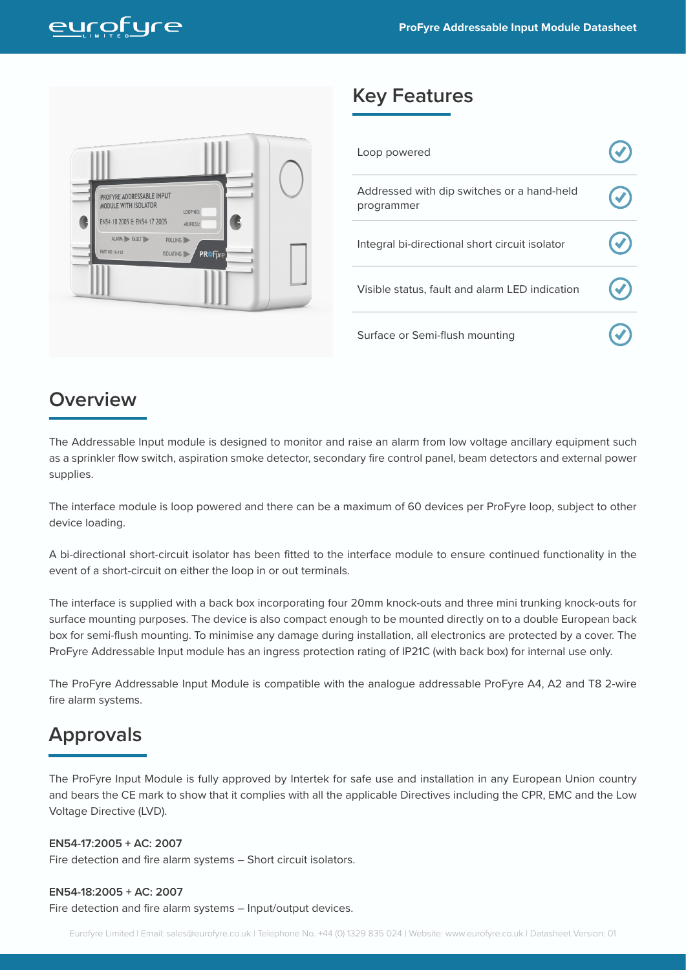

### **Key Features**

| Loop powered                                             |  |
|----------------------------------------------------------|--|
| Addressed with dip switches or a hand-held<br>programmer |  |
| Integral bi-directional short circuit isolator           |  |
| Visible status, fault and alarm LED indication           |  |
| Surface or Semi-flush mounting                           |  |

## **Overview**

The Addressable Input module is designed to monitor and raise an alarm from low voltage ancillary equipment such as a sprinkler flow switch, aspiration smoke detector, secondary fire control panel, beam detectors and external power supplies.

The interface module is loop powered and there can be a maximum of 60 devices per ProFyre loop, subject to other device loading.

A bi-directional short-circuit isolator has been fitted to the interface module to ensure continued functionality in the event of a short-circuit on either the loop in or out terminals.

The interface is supplied with a back box incorporating four 20mm knock-outs and three mini trunking knock-outs for surface mounting purposes. The device is also compact enough to be mounted directly on to a double European back box for semi-flush mounting. To minimise any damage during installation, all electronics are protected by a cover. The ProFyre Addressable Input module has an ingress protection rating of IP21C (with back box) for internal use only.

The ProFyre Addressable Input Module is compatible with the analogue addressable ProFyre A4, A2 and T8 2-wire fire alarm systems.

### **Approvals**

The ProFyre Input Module is fully approved by Intertek for safe use and installation in any European Union country and bears the CE mark to show that it complies with all the applicable Directives including the CPR, EMC and the Low Voltage Directive (LVD).

#### **EN54-17:2005 + AC: 2007**

Fire detection and fire alarm systems – Short circuit isolators.

#### **EN54-18:2005 + AC: 2007**

Fire detection and fire alarm systems – Input/output devices.